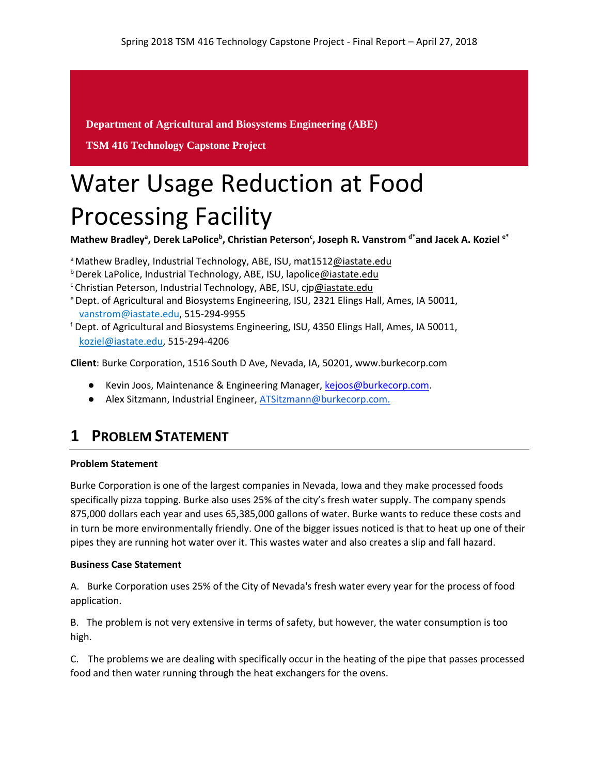**Department of Agricultural and Biosystems Engineering (ABE)**

**TSM 416 Technology Capstone Project** 

# Water Usage Reduction at Food Processing Facility

Mathew Bradley<sup>a</sup>, Derek LaPolice<sup>b</sup>, Christian Peterson<sup>c</sup>, Joseph R. Vanstrom <sup>d\*</sup>and Jacek A. Koziel <sup>e\*</sup>

a Mathew Bradley, Industrial Technology, ABE, ISU, mat151[2@iastate.edu](mailto:e-mail@iastate.edu)

**b Derek LaPolice, Industrial Technology, ABE, ISU, lapolic[e@iastate.edu](mailto:e-mail@iastate.edu)** 

<sup>c</sup> Christian Peterson, Industrial Technology, ABE, ISU, cj[p@iastate.edu](mailto:e-mail@iastate.edu)

- e Dept. of Agricultural and Biosystems Engineering, ISU, 2321 Elings Hall, Ames, IA 50011, [vanstrom@iastate.edu,](mailto:vanstrom@iastate.edu) 515-294-9955
- <sup>f</sup> Dept. of Agricultural and Biosystems Engineering, ISU, 4350 Elings Hall, Ames, IA 50011, [koziel@iastate.edu,](mailto:koziel@iastate.edu) 515-294-4206

**Client**: Burke Corporation, 1516 South D Ave, Nevada, IA, 50201, www.burkecorp.com

- Kevin Joos, Maintenance & Engineering Manager, [kejoos@burkecorp.com.](mailto:kejoos@burkecorp.com)
- Alex Sitzmann, Industrial Engineer[, ATSitzmann@burkecorp.com.](mailto:ATSitzmann@burkecorp.com)

# **1 PROBLEM STATEMENT**

#### **Problem Statement**

Burke Corporation is one of the largest companies in Nevada, Iowa and they make processed foods specifically pizza topping. Burke also uses 25% of the city's fresh water supply. The company spends 875,000 dollars each year and uses 65,385,000 gallons of water. Burke wants to reduce these costs and in turn be more environmentally friendly. One of the bigger issues noticed is that to heat up one of their pipes they are running hot water over it. This wastes water and also creates a slip and fall hazard.

#### **Business Case Statement**

A. Burke Corporation uses 25% of the City of Nevada's fresh water every year for the process of food application.

B. The problem is not very extensive in terms of safety, but however, the water consumption is too high.

C. The problems we are dealing with specifically occur in the heating of the pipe that passes processed food and then water running through the heat exchangers for the ovens.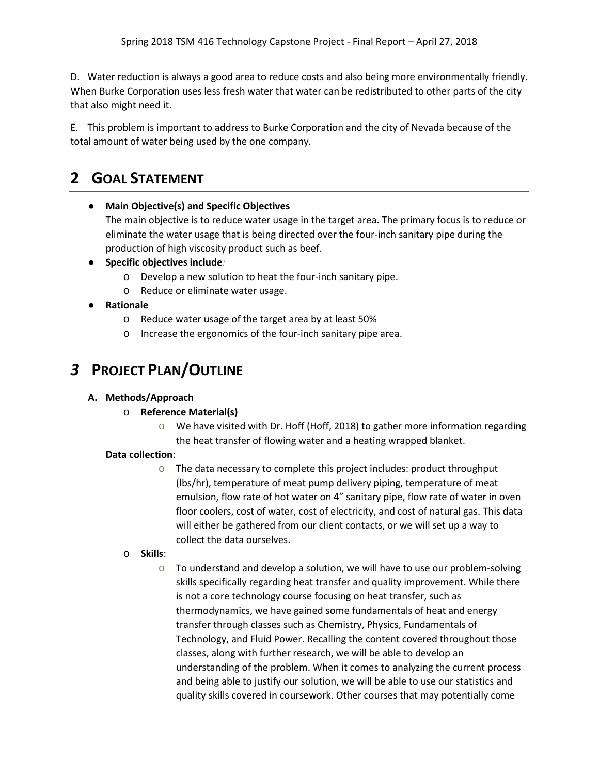D. Water reduction is always a good area to reduce costs and also being more environmentally friendly. When Burke Corporation uses less fresh water that water can be redistributed to other parts of the city that also might need it.

E. This problem is important to address to Burke Corporation and the city of Nevada because of the total amount of water being used by the one company*.*

# **2 GOAL STATEMENT**

#### ● **Main Objective(s) and Specific Objectives**

The main objective is to reduce water usage in the target area. The primary focus is to reduce or eliminate the water usage that is being directed over the four-inch sanitary pipe during the production of high viscosity product such as beef.

- **Specific objectives include***:*
	- o Develop a new solution to heat the four-inch sanitary pipe.
	- o Reduce or eliminate water usage.
- **Rationale**
	- o Reduce water usage of the target area by at least 50%
	- o Increase the ergonomics of the four-inch sanitary pipe area.

# *3* **PROJECT PLAN/OUTLINE**

#### **A. Methods/Approach**

#### o **Reference Material(s)**

 $\circ$  We have visited with Dr. Hoff (Hoff, 2018) to gather more information regarding the heat transfer of flowing water and a heating wrapped blanket.

#### **Data collection**:

- o The data necessary to complete this project includes: product throughput (lbs/hr), temperature of meat pump delivery piping, temperature of meat emulsion, flow rate of hot water on 4" sanitary pipe, flow rate of water in oven floor coolers, cost of water, cost of electricity, and cost of natural gas. This data will either be gathered from our client contacts, or we will set up a way to collect the data ourselves.
- o **Skills**:
	- $\circ$  To understand and develop a solution, we will have to use our problem-solving skills specifically regarding heat transfer and quality improvement. While there is not a core technology course focusing on heat transfer, such as thermodynamics, we have gained some fundamentals of heat and energy transfer through classes such as Chemistry, Physics, Fundamentals of Technology, and Fluid Power. Recalling the content covered throughout those classes, along with further research, we will be able to develop an understanding of the problem. When it comes to analyzing the current process and being able to justify our solution, we will be able to use our statistics and quality skills covered in coursework. Other courses that may potentially come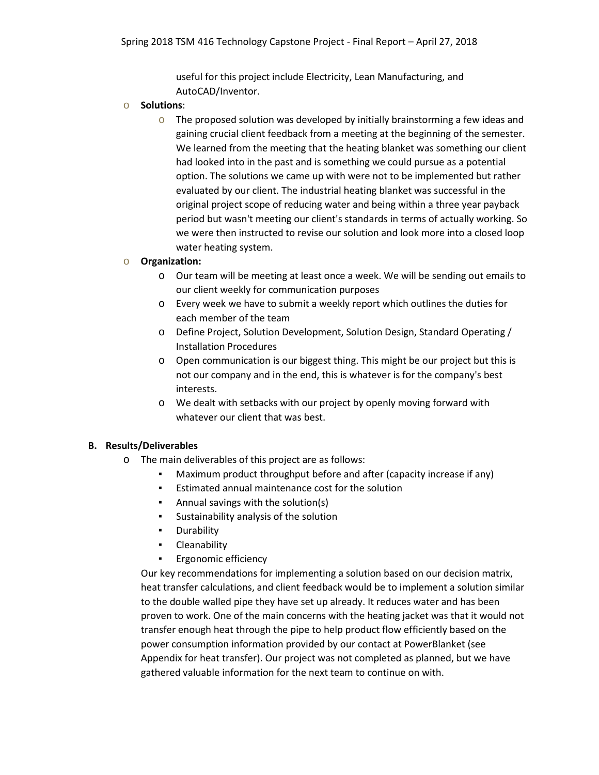useful for this project include Electricity, Lean Manufacturing, and AutoCAD/Inventor.

- o **Solutions**:
	- $\circ$  The proposed solution was developed by initially brainstorming a few ideas and gaining crucial client feedback from a meeting at the beginning of the semester. We learned from the meeting that the heating blanket was something our client had looked into in the past and is something we could pursue as a potential option. The solutions we came up with were not to be implemented but rather evaluated by our client. The industrial heating blanket was successful in the original project scope of reducing water and being within a three year payback period but wasn't meeting our client's standards in terms of actually working. So we were then instructed to revise our solution and look more into a closed loop water heating system.

#### o **Organization:**

- o Our team will be meeting at least once a week. We will be sending out emails to our client weekly for communication purposes
- o Every week we have to submit a weekly report which outlines the duties for each member of the team
- o Define Project, Solution Development, Solution Design, Standard Operating / Installation Procedures
- o Open communication is our biggest thing. This might be our project but this is not our company and in the end, this is whatever is for the company's best interests.
- o We dealt with setbacks with our project by openly moving forward with whatever our client that was best.

#### **B. Results/Deliverables**

- o The main deliverables of this project are as follows:
	- Maximum product throughput before and after (capacity increase if any)
	- Estimated annual maintenance cost for the solution
	- Annual savings with the solution(s)
	- Sustainability analysis of the solution
	- Durability
	- Cleanability
	- **Ergonomic efficiency**

Our key recommendations for implementing a solution based on our decision matrix, heat transfer calculations, and client feedback would be to implement a solution similar to the double walled pipe they have set up already. It reduces water and has been proven to work. One of the main concerns with the heating jacket was that it would not transfer enough heat through the pipe to help product flow efficiently based on the power consumption information provided by our contact at PowerBlanket (see Appendix for heat transfer). Our project was not completed as planned, but we have gathered valuable information for the next team to continue on with.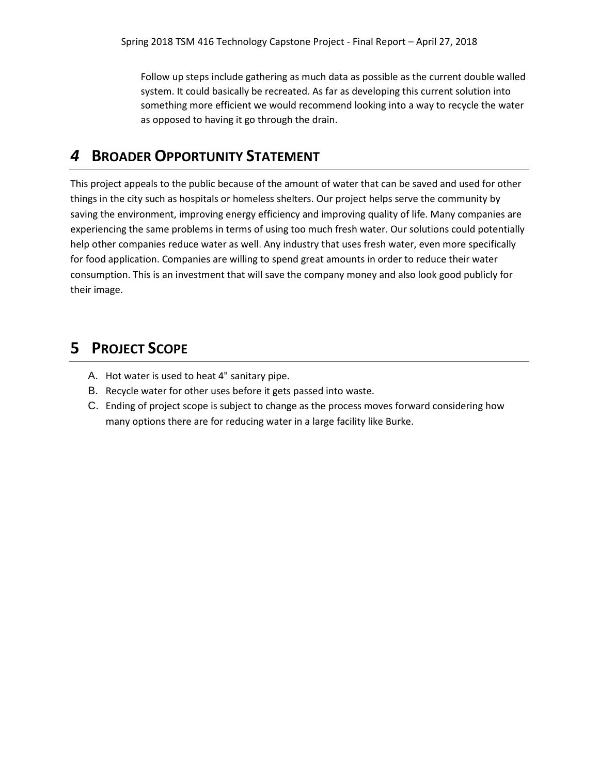Follow up steps include gathering as much data as possible as the current double walled system. It could basically be recreated. As far as developing this current solution into something more efficient we would recommend looking into a way to recycle the water as opposed to having it go through the drain.

## *4* **BROADER OPPORTUNITY STATEMENT**

This project appeals to the public because of the amount of water that can be saved and used for other things in the city such as hospitals or homeless shelters. Our project helps serve the community by saving the environment, improving energy efficiency and improving quality of life. Many companies are experiencing the same problems in terms of using too much fresh water. Our solutions could potentially help other companies reduce water as well. Any industry that uses fresh water, even more specifically for food application. Companies are willing to spend great amounts in order to reduce their water consumption. This is an investment that will save the company money and also look good publicly for their image.

# **5 PROJECT SCOPE**

- A. Hot water is used to heat 4" sanitary pipe.
- B. Recycle water for other uses before it gets passed into waste.
- C. Ending of project scope is subject to change as the process moves forward considering how many options there are for reducing water in a large facility like Burke.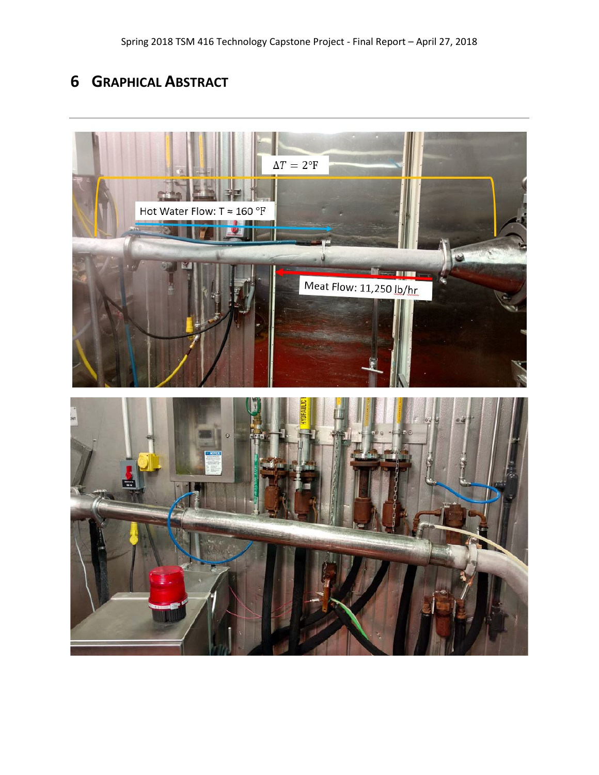# **6 GRAPHICAL ABSTRACT**

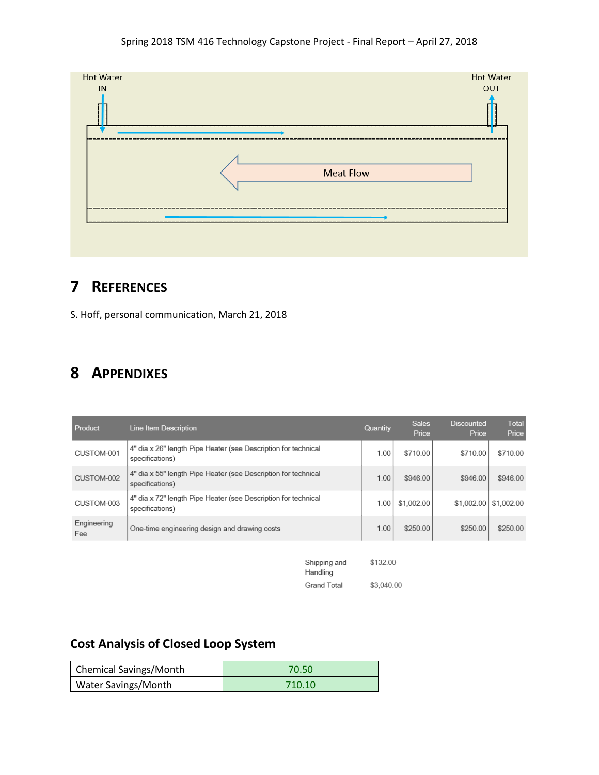#### Spring 2018 TSM 416 Technology Capstone Project - Final Report – April 27, 2018



### **7 REFERENCES**

S. Hoff, personal communication, March 21, 2018

### **8 APPENDIXES**

| Product            | Line Item Description                                                             | Quantity | <b>Sales</b><br>Price | <b>Discounted</b><br>Price | Total<br>Price |
|--------------------|-----------------------------------------------------------------------------------|----------|-----------------------|----------------------------|----------------|
| CUSTOM-001         | 4" dia x 26" length Pipe Heater (see Description for technical<br>specifications) | 1.00     | \$710.00              | \$710.00                   | \$710.00       |
| CUSTOM-002         | 4" dia x 55" length Pipe Heater (see Description for technical<br>specifications) | 1.00     | \$946.00              | \$946.00                   | \$946.00       |
| CUSTOM-003         | 4" dia x 72" length Pipe Heater (see Description for technical<br>specifications) | 1.00     | \$1,002.00            | \$1,002.00                 | \$1,002.00     |
| Engineering<br>Fee | One-time engineering design and drawing costs                                     | 1.00     | \$250.00              | \$250.00                   | \$250.00       |
|                    | Shipping and                                                                      | \$132.00 |                       |                            |                |

| Snipping and | 3132.UU    |
|--------------|------------|
| Handling     |            |
| Grand Total  | \$3,040.00 |

# **Cost Analysis of Closed Loop System**

| Chemical Savings/Month | 70.50  |
|------------------------|--------|
| Water Savings/Month    | 710.10 |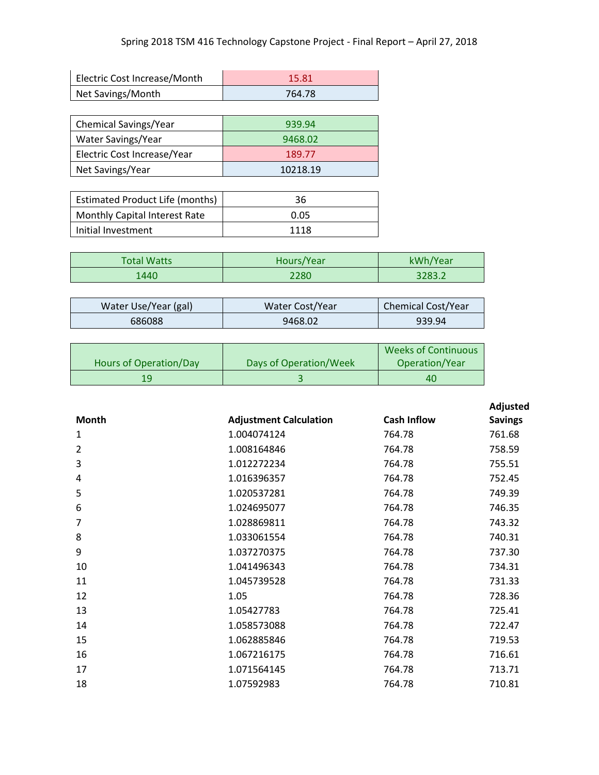| Electric Cost Increase/Month | 15.81  |
|------------------------------|--------|
| Net Savings/Month            | 764.78 |

| Chemical Savings/Year       | 939.94   |
|-----------------------------|----------|
| Water Savings/Year          | 9468.02  |
| Electric Cost Increase/Year | 189.77   |
| Net Savings/Year            | 10218.19 |

| <b>Estimated Product Life (months)</b> | 36   |
|----------------------------------------|------|
| <b>Monthly Capital Interest Rate</b>   | 0.05 |
| Initial Investment                     | 1118 |

| <b>Total Watts</b> | Hours/Year | kWh/Year |
|--------------------|------------|----------|
| 1440               | 2280       | 3283.2   |

| Water Use/Year (gal) | Water Cost/Year | <b>Chemical Cost/Year</b> |
|----------------------|-----------------|---------------------------|
| 686088               | 9468.02         | 939.94                    |

|                        |                        | <b>Weeks of Continuous</b> |
|------------------------|------------------------|----------------------------|
| Hours of Operation/Day | Days of Operation/Week | Operation/Year             |
|                        |                        | 40                         |

|                               |                    | Adjusted       |
|-------------------------------|--------------------|----------------|
| <b>Adjustment Calculation</b> | <b>Cash Inflow</b> | <b>Savings</b> |
| 1.004074124                   | 764.78             | 761.68         |
| 1.008164846                   | 764.78             | 758.59         |
| 1.012272234                   | 764.78             | 755.51         |
| 1.016396357                   | 764.78             | 752.45         |
| 1.020537281                   | 764.78             | 749.39         |
| 1.024695077                   | 764.78             | 746.35         |
| 1.028869811                   | 764.78             | 743.32         |
| 1.033061554                   | 764.78             | 740.31         |
| 1.037270375                   | 764.78             | 737.30         |
| 1.041496343                   | 764.78             | 734.31         |
| 1.045739528                   | 764.78             | 731.33         |
| 1.05                          | 764.78             | 728.36         |
| 1.05427783                    | 764.78             | 725.41         |
| 1.058573088                   | 764.78             | 722.47         |
| 1.062885846                   | 764.78             | 719.53         |
| 1.067216175                   | 764.78             | 716.61         |
| 1.071564145                   | 764.78             | 713.71         |
| 1.07592983                    | 764.78             | 710.81         |
|                               |                    |                |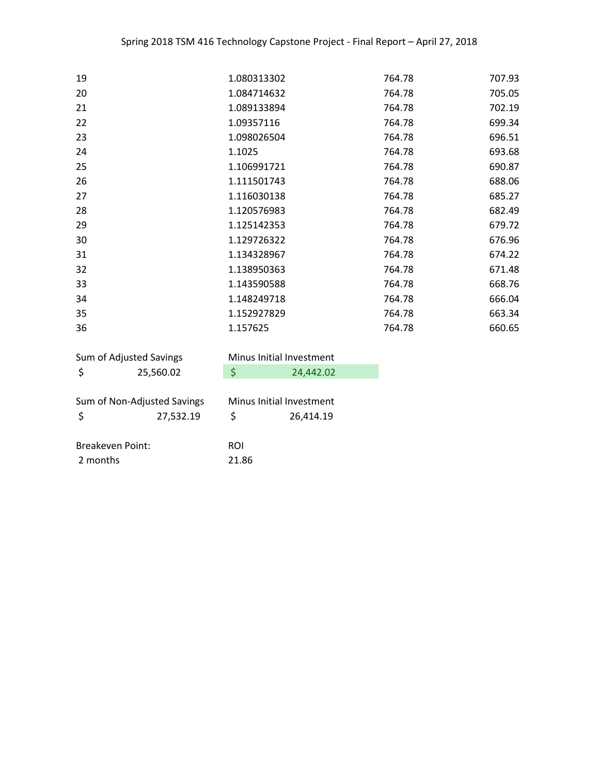| 19 | 1.080313302 | 764.78 | 707.93 |
|----|-------------|--------|--------|
| 20 | 1.084714632 | 764.78 | 705.05 |
| 21 | 1.089133894 | 764.78 | 702.19 |
| 22 | 1.09357116  | 764.78 | 699.34 |
| 23 | 1.098026504 | 764.78 | 696.51 |
| 24 | 1.1025      | 764.78 | 693.68 |
| 25 | 1.106991721 | 764.78 | 690.87 |
| 26 | 1.111501743 | 764.78 | 688.06 |
| 27 | 1.116030138 | 764.78 | 685.27 |
| 28 | 1.120576983 | 764.78 | 682.49 |
| 29 | 1.125142353 | 764.78 | 679.72 |
| 30 | 1.129726322 | 764.78 | 676.96 |
| 31 | 1.134328967 | 764.78 | 674.22 |
| 32 | 1.138950363 | 764.78 | 671.48 |
| 33 | 1.143590588 | 764.78 | 668.76 |
| 34 | 1.148249718 | 764.78 | 666.04 |
| 35 | 1.152927829 | 764.78 | 663.34 |
| 36 | 1.157625    | 764.78 | 660.65 |

| Sum of Adjusted Savings     |           |            | Minus Initial Investment |  |  |
|-----------------------------|-----------|------------|--------------------------|--|--|
| -\$                         | 25,560.02 | S          | 24,442.02                |  |  |
|                             |           |            |                          |  |  |
| Sum of Non-Adjusted Savings |           |            | Minus Initial Investment |  |  |
|                             | 27,532.19 | Ś          | 26,414.19                |  |  |
|                             |           |            |                          |  |  |
| <b>Breakeven Point:</b>     |           | <b>ROI</b> |                          |  |  |
| 2 months                    |           | 21.86      |                          |  |  |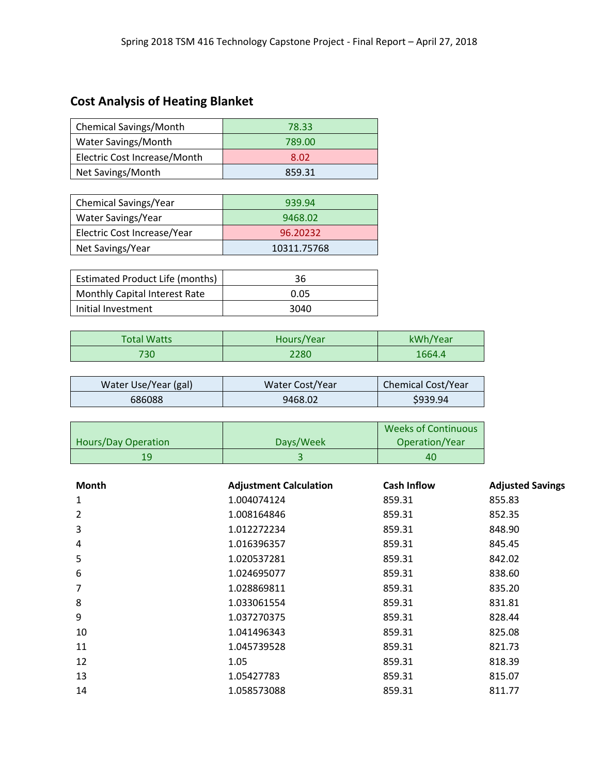# **Cost Analysis of Heating Blanket**

| <b>Chemical Savings/Month</b>       | 78.33  |
|-------------------------------------|--------|
| Water Savings/Month                 | 789.00 |
| <b>Electric Cost Increase/Month</b> | 8.02   |
| Net Savings/Month                   | 859.31 |

| <b>Chemical Savings/Year</b> | 939.94      |
|------------------------------|-------------|
| Water Savings/Year           | 9468.02     |
| Electric Cost Increase/Year  | 96.20232    |
| Net Savings/Year             | 10311.75768 |

| <b>Estimated Product Life (months)</b> | 36   |
|----------------------------------------|------|
| <b>Monthly Capital Interest Rate</b>   | 0.05 |
| Initial Investment                     | 3040 |

| <b>Total Watts</b> | Hours/Year | kWh/Year |
|--------------------|------------|----------|
| 730                | 2280       | 1664.4   |

| Water Use/Year (gal) | Water Cost/Year | <b>Chemical Cost/Year</b> |
|----------------------|-----------------|---------------------------|
| 686088               | 9468.02         | \$939.94                  |

|                            |           | <b>Weeks of Continuous</b> |
|----------------------------|-----------|----------------------------|
| <b>Hours/Day Operation</b> | Days/Week | Operation/Year             |
|                            |           | 40                         |

| <b>Month</b>   | <b>Adjustment Calculation</b> | <b>Cash Inflow</b> | <b>Adjusted Savings</b> |
|----------------|-------------------------------|--------------------|-------------------------|
| 1              | 1.004074124                   | 859.31             | 855.83                  |
| $\overline{2}$ | 1.008164846                   | 859.31             | 852.35                  |
| 3              | 1.012272234                   | 859.31             | 848.90                  |
| 4              | 1.016396357                   | 859.31             | 845.45                  |
| 5              | 1.020537281                   | 859.31             | 842.02                  |
| 6              | 1.024695077                   | 859.31             | 838.60                  |
|                | 1.028869811                   | 859.31             | 835.20                  |
| 8              | 1.033061554                   | 859.31             | 831.81                  |
| 9              | 1.037270375                   | 859.31             | 828.44                  |
| 10             | 1.041496343                   | 859.31             | 825.08                  |
| 11             | 1.045739528                   | 859.31             | 821.73                  |
| 12             | 1.05                          | 859.31             | 818.39                  |
| 13             | 1.05427783                    | 859.31             | 815.07                  |
| 14             | 1.058573088                   | 859.31             | 811.77                  |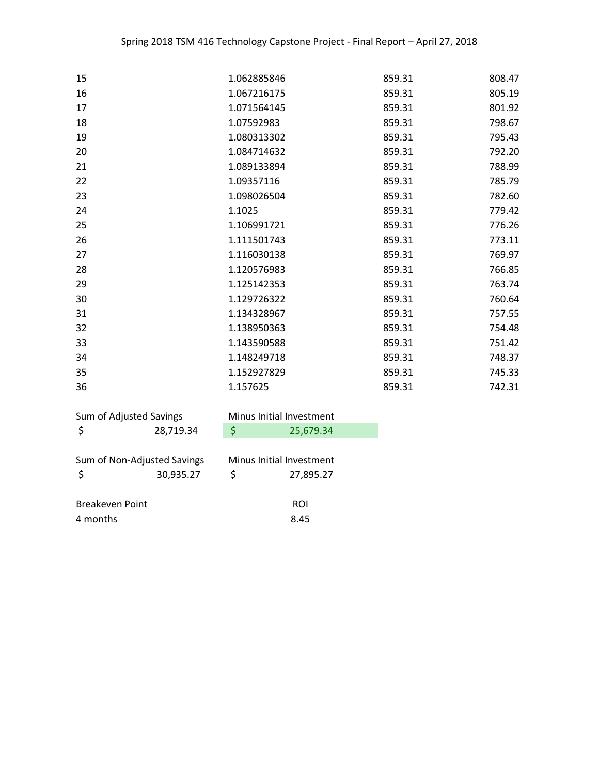| 15 | 1.062885846 | 859.31 | 808.47 |
|----|-------------|--------|--------|
| 16 | 1.067216175 | 859.31 | 805.19 |
| 17 | 1.071564145 | 859.31 | 801.92 |
| 18 | 1.07592983  | 859.31 | 798.67 |
| 19 | 1.080313302 | 859.31 | 795.43 |
| 20 | 1.084714632 | 859.31 | 792.20 |
| 21 | 1.089133894 | 859.31 | 788.99 |
| 22 | 1.09357116  | 859.31 | 785.79 |
| 23 | 1.098026504 | 859.31 | 782.60 |
| 24 | 1.1025      | 859.31 | 779.42 |
| 25 | 1.106991721 | 859.31 | 776.26 |
| 26 | 1.111501743 | 859.31 | 773.11 |
| 27 | 1.116030138 | 859.31 | 769.97 |
| 28 | 1.120576983 | 859.31 | 766.85 |
| 29 | 1.125142353 | 859.31 | 763.74 |
| 30 | 1.129726322 | 859.31 | 760.64 |
| 31 | 1.134328967 | 859.31 | 757.55 |
| 32 | 1.138950363 | 859.31 | 754.48 |
| 33 | 1.143590588 | 859.31 | 751.42 |
| 34 | 1.148249718 | 859.31 | 748.37 |
| 35 | 1.152927829 | 859.31 | 745.33 |
| 36 | 1.157625    | 859.31 | 742.31 |
|    |             |        |        |

| Sum of Adjusted Savings     |           | Minus Initial Investment |           |
|-----------------------------|-----------|--------------------------|-----------|
| 28,719.34                   | \$        | 25,679.34                |           |
|                             |           |                          |           |
| Sum of Non-Adjusted Savings |           | Minus Initial Investment |           |
|                             | 30,935.27 | \$                       | 27,895.27 |
|                             |           |                          |           |
| <b>Breakeven Point</b>      |           | ROI                      |           |
| 4 months                    |           | 8.45                     |           |
|                             |           |                          |           |